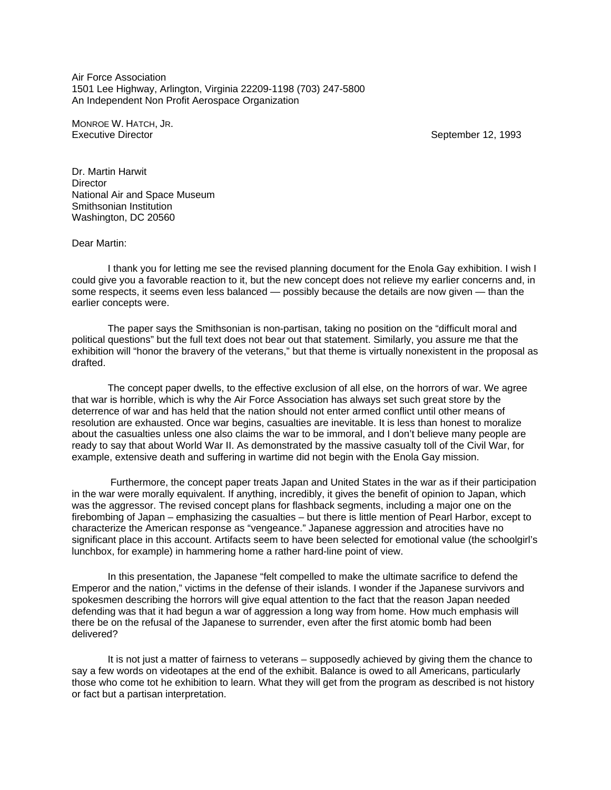Air Force Association 1501 Lee Highway, Arlington, Virginia 22209-1198 (703) 247-5800 An Independent Non Profit Aerospace Organization

MONROE W. HATCH, JR. Executive Director **September 12, 1993** 

Dr. Martin Harwit **Director** National Air and Space Museum Smithsonian Institution Washington, DC 20560

Dear Martin:

I thank you for letting me see the revised planning document for the Enola Gay exhibition. I wish I could give you a favorable reaction to it, but the new concept does not relieve my earlier concerns and, in some respects, it seems even less balanced — possibly because the details are now given — than the earlier concepts were.

The paper says the Smithsonian is non-partisan, taking no position on the "difficult moral and political questions" but the full text does not bear out that statement. Similarly, you assure me that the exhibition will "honor the bravery of the veterans," but that theme is virtually nonexistent in the proposal as drafted.

The concept paper dwells, to the effective exclusion of all else, on the horrors of war. We agree that war is horrible, which is why the Air Force Association has always set such great store by the deterrence of war and has held that the nation should not enter armed conflict until other means of resolution are exhausted. Once war begins, casualties are inevitable. It is less than honest to moralize about the casualties unless one also claims the war to be immoral, and I don't believe many people are ready to say that about World War II. As demonstrated by the massive casualty toll of the Civil War, for example, extensive death and suffering in wartime did not begin with the Enola Gay mission.

 Furthermore, the concept paper treats Japan and United States in the war as if their participation in the war were morally equivalent. If anything, incredibly, it gives the benefit of opinion to Japan, which was the aggressor. The revised concept plans for flashback segments, including a major one on the firebombing of Japan – emphasizing the casualties – but there is little mention of Pearl Harbor, except to characterize the American response as "vengeance." Japanese aggression and atrocities have no significant place in this account. Artifacts seem to have been selected for emotional value (the schoolgirl's lunchbox, for example) in hammering home a rather hard-line point of view.

In this presentation, the Japanese "felt compelled to make the ultimate sacrifice to defend the Emperor and the nation," victims in the defense of their islands. I wonder if the Japanese survivors and spokesmen describing the horrors will give equal attention to the fact that the reason Japan needed defending was that it had begun a war of aggression a long way from home. How much emphasis will there be on the refusal of the Japanese to surrender, even after the first atomic bomb had been delivered?

It is not just a matter of fairness to veterans – supposedly achieved by giving them the chance to say a few words on videotapes at the end of the exhibit. Balance is owed to all Americans, particularly those who come tot he exhibition to learn. What they will get from the program as described is not history or fact but a partisan interpretation.